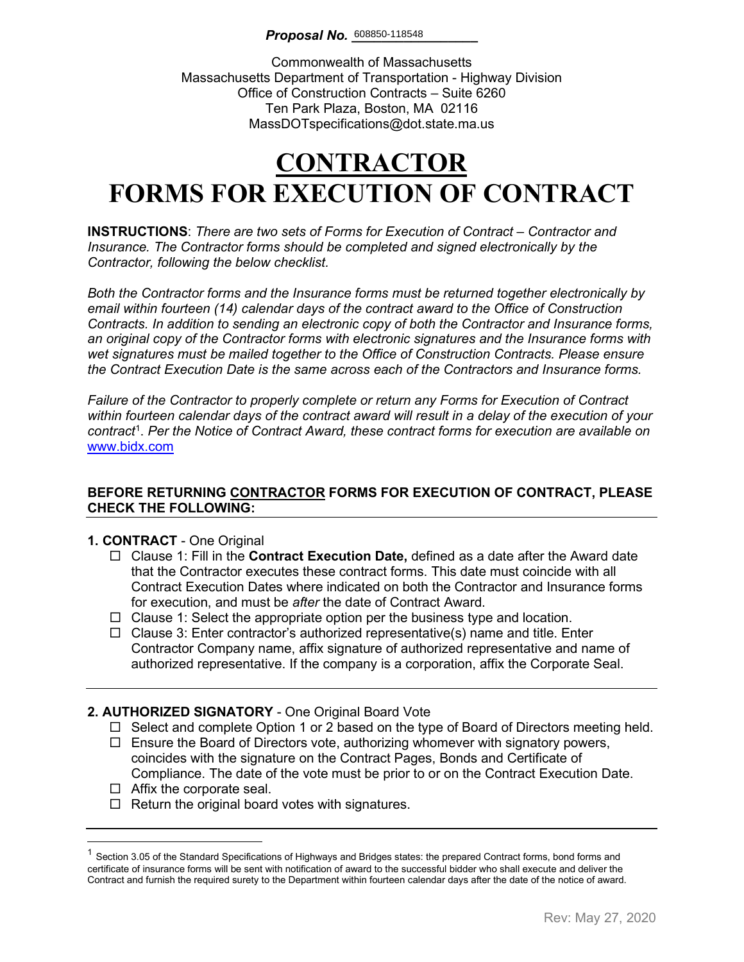Commonwealth of Massachusetts Massachusetts Department of Transportation - Highway Division Office of Construction Contracts – Suite 6260 Ten Park Plaza, Boston, MA 02116 MassDOTspecifications@dot.state.ma.us

# **CONTRACTOR FORMS FOR EXECUTION OF CONTRACT**

**INSTRUCTIONS**: *There are two sets of Forms for Execution of Contract – Contractor and Insurance. The Contractor forms should be completed and signed electronically by the Contractor, following the below checklist.* 

*Both the Contractor forms and the Insurance forms must be returned together electronically by email within fourteen (14) calendar days of the contract award to the Office of Construction Contracts. In addition to sending an electronic copy of both the Contractor and Insurance forms, an original copy of the Contractor forms with electronic signatures and the Insurance forms with wet signatures must be mailed together to the Office of Construction Contracts. Please ensure the Contract Execution Date is the same across each of the Contractors and Insurance forms.*

*Failure of the Contractor to properly complete or return any Forms for Execution of Contract within fourteen calendar days of the contract award will result in a delay of the execution of your contract*[1](#page-0-0) . *Per the Notice of Contract Award, these contract forms for execution are available on*  [www.bidx.com](http://www.bidx.com/)

### **BEFORE RETURNING CONTRACTOR FORMS FOR EXECUTION OF CONTRACT, PLEASE CHECK THE FOLLOWING:**

#### **1. CONTRACT** - One Original

- Clause 1: Fill in the **Contract Execution Date,** defined as a date after the Award date that the Contractor executes these contract forms. This date must coincide with all Contract Execution Dates where indicated on both the Contractor and Insurance forms for execution, and must be *after* the date of Contract Award.
- $\Box$  Clause 1: Select the appropriate option per the business type and location.
- $\Box$  Clause 3: Enter contractor's authorized representative(s) name and title. Enter Contractor Company name, affix signature of authorized representative and name of authorized representative. If the company is a corporation, affix the Corporate Seal.

### **2. AUTHORIZED SIGNATORY** - One Original Board Vote

- $\Box$  Select and complete Option 1 or 2 based on the type of Board of Directors meeting held.
- $\Box$  Ensure the Board of Directors vote, authorizing whomever with signatory powers, coincides with the signature on the Contract Pages, Bonds and Certificate of Compliance. The date of the vote must be prior to or on the Contract Execution Date.
- $\Box$  Affix the corporate seal.
- $\Box$  Return the original board votes with signatures.

<span id="page-0-0"></span> $1$  Section 3.05 of the Standard Specifications of Highways and Bridges states: the prepared Contract forms, bond forms and certificate of insurance forms will be sent with notification of award to the successful bidder who shall execute and deliver the Contract and furnish the required surety to the Department within fourteen calendar days after the date of the notice of award.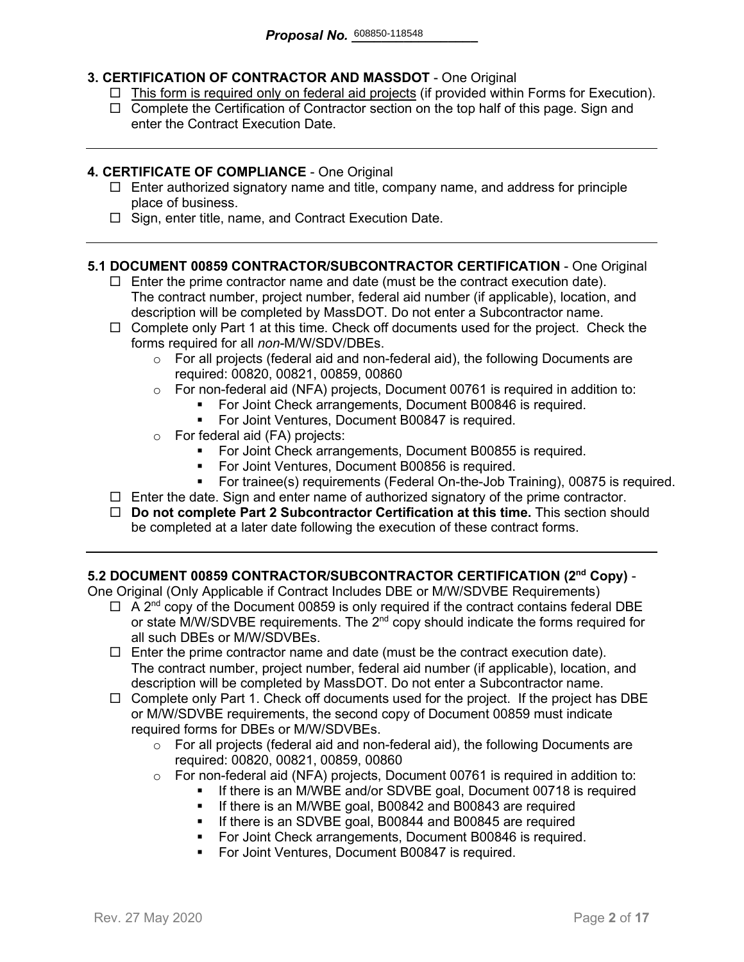### **3. CERTIFICATION OF CONTRACTOR AND MASSDOT** - One Original

- $\Box$  This form is required only on federal aid projects (if provided within Forms for Execution).
- $\Box$  Complete the Certification of Contractor section on the top half of this page. Sign and enter the Contract Execution Date.

#### **4. CERTIFICATE OF COMPLIANCE** - One Original

- $\Box$  Enter authorized signatory name and title, company name, and address for principle place of business.
- $\Box$  Sign, enter title, name, and Contract Execution Date.

#### **5.1 DOCUMENT 00859 CONTRACTOR/SUBCONTRACTOR CERTIFICATION** - One Original

- $\Box$  Enter the prime contractor name and date (must be the contract execution date). The contract number, project number, federal aid number (if applicable), location, and description will be completed by MassDOT. Do not enter a Subcontractor name.
- $\Box$  Complete only Part 1 at this time. Check off documents used for the project. Check the forms required for all *non-*M/W/SDV/DBEs.
	- $\circ$  For all projects (federal aid and non-federal aid), the following Documents are required: 00820, 00821, 00859, 00860
	- o For non-federal aid (NFA) projects, Document 00761 is required in addition to:
		- For Joint Check arrangements, Document B00846 is required.
		- **For Joint Ventures, Document B00847 is required.**
	- o For federal aid (FA) projects:
		- **For Joint Check arrangements, Document B00855 is required.**
		- For Joint Ventures, Document B00856 is required.
		- For trainee(s) requirements (Federal On-the-Job Training), 00875 is required.
- $\Box$  Enter the date. Sign and enter name of authorized signatory of the prime contractor.
- **Do not complete Part 2 Subcontractor Certification at this time.** This section should be completed at a later date following the execution of these contract forms.

#### **5.2 DOCUMENT 00859 CONTRACTOR/SUBCONTRACTOR CERTIFICATION (2nd Copy)** -

One Original (Only Applicable if Contract Includes DBE or M/W/SDVBE Requirements)

- $\Box$  A 2<sup>nd</sup> copy of the Document 00859 is only required if the contract contains federal DBE or state M/W/SDVBE requirements. The  $2^{nd}$  copy should indicate the forms required for all such DBEs or M/W/SDVBEs.
- $\Box$  Enter the prime contractor name and date (must be the contract execution date). The contract number, project number, federal aid number (if applicable), location, and description will be completed by MassDOT. Do not enter a Subcontractor name.
- $\Box$  Complete only Part 1. Check off documents used for the project. If the project has DBE or M/W/SDVBE requirements, the second copy of Document 00859 must indicate required forms for DBEs or M/W/SDVBEs.
	- $\circ$  For all projects (federal aid and non-federal aid), the following Documents are required: 00820, 00821, 00859, 00860
	- o For non-federal aid (NFA) projects, Document 00761 is required in addition to:
		- If there is an M/WBE and/or SDVBE goal, Document 00718 is required
			- **If there is an M/WBE goal, B00842 and B00843 are required**
		- **If there is an SDVBE goal, B00844 and B00845 are required**
		- **For Joint Check arrangements, Document B00846 is required.**
		- **For Joint Ventures, Document B00847 is required.**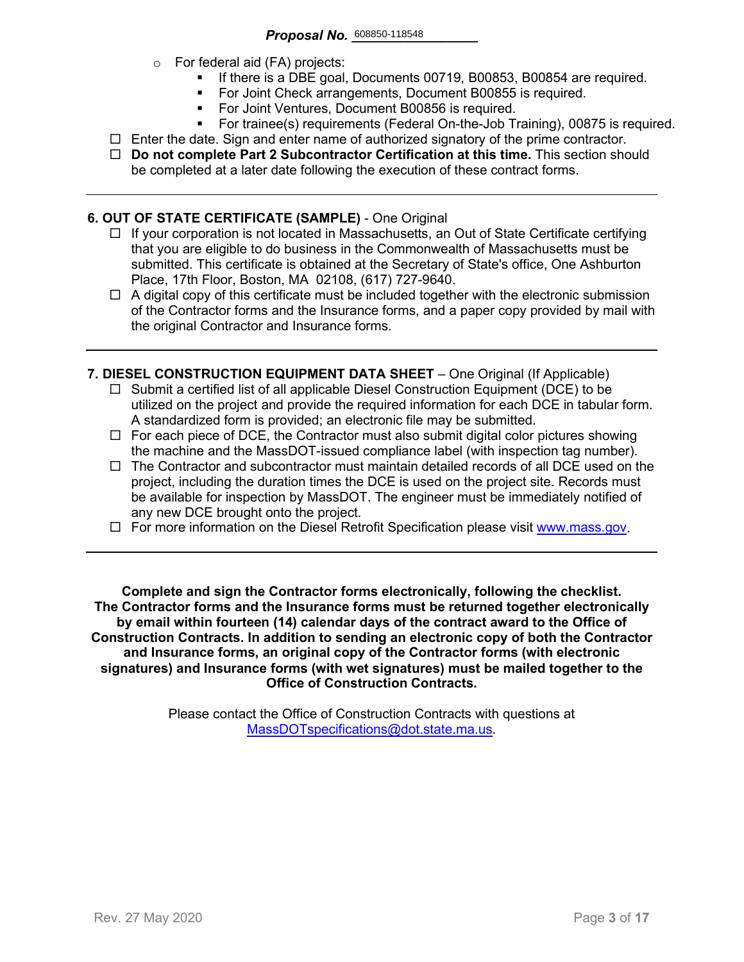- o For federal aid (FA) projects:
	- If there is a DBE goal, Documents 00719, B00853, B00854 are required.
	- For Joint Check arrangements, Document B00855 is required.
	- **For Joint Ventures, Document B00856 is required.**
	- For trainee(s) requirements (Federal On-the-Job Training), 00875 is required.
- $\Box$  Enter the date. Sign and enter name of authorized signatory of the prime contractor.
- **Do not complete Part 2 Subcontractor Certification at this time.** This section should be completed at a later date following the execution of these contract forms.

#### **6. OUT OF STATE CERTIFICATE (SAMPLE)** - One Original

- $\Box$  If your corporation is not located in Massachusetts, an Out of State Certificate certifying that you are eligible to do business in the Commonwealth of Massachusetts must be submitted. This certificate is obtained at the Secretary of State's office, One Ashburton Place, 17th Floor, Boston, MA 02108, (617) 727-9640.
- $\Box$  A digital copy of this certificate must be included together with the electronic submission of the Contractor forms and the Insurance forms, and a paper copy provided by mail with the original Contractor and Insurance forms.
- **7. DIESEL CONSTRUCTION EQUIPMENT DATA SHEET** One Original (If Applicable)
	- $\Box$  Submit a certified list of all applicable Diesel Construction Equipment (DCE) to be utilized on the project and provide the required information for each DCE in tabular form. A standardized form is provided; an electronic file may be submitted.
	- $\Box$  For each piece of DCE, the Contractor must also submit digital color pictures showing the machine and the MassDOT-issued compliance label (with inspection tag number).
	- $\Box$  The Contractor and subcontractor must maintain detailed records of all DCE used on the project, including the duration times the DCE is used on the project site. Records must be available for inspection by MassDOT. The engineer must be immediately notified of any new DCE brought onto the project.
	- $\Box$  For more information on the Diesel Retrofit Specification please visit [www.mass.gov.](https://www.mass.gov/service-details/massdot-diesel-retrofit-specification)

**Complete and sign the Contractor forms electronically, following the checklist. The Contractor forms and the Insurance forms must be returned together electronically by email within fourteen (14) calendar days of the contract award to the Office of Construction Contracts. In addition to sending an electronic copy of both the Contractor and Insurance forms, an original copy of the Contractor forms (with electronic signatures) and Insurance forms (with wet signatures) must be mailed together to the Office of Construction Contracts.**

> Please contact the Office of Construction Contracts with questions at [MassDOTspecifications@dot.state.ma.us.](mailto:MassDOTspecifications@dot.state.ma.us)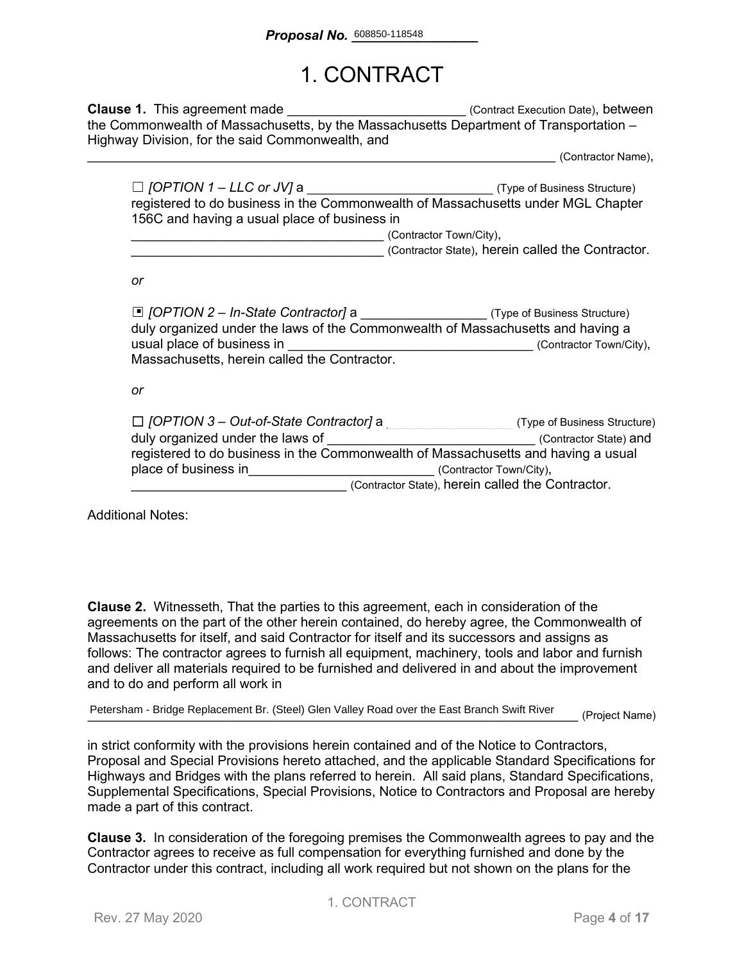### 1. CONTRACT

**Clause 1.** This agreement made **Clause 1.** This agreement made the Commonwealth of Massachusetts, by the Massachusetts Department of Transportation – Highway Division, for the said Commonwealth, and

\_\_\_\_\_\_\_\_\_\_\_\_\_\_\_\_\_\_\_\_\_\_\_\_\_\_\_\_\_\_\_\_\_\_\_\_\_\_\_\_\_\_\_\_\_\_\_\_\_\_\_\_\_\_\_\_\_\_\_\_\_\_\_ (Contractor Name),

| $\Box$ [OPTION 1 – LLC or JV] a                                                  | (Type of Business Structure) |  |
|----------------------------------------------------------------------------------|------------------------------|--|
| registered to do business in the Commonwealth of Massachusetts under MGL Chapter |                              |  |
| 156C and having a usual place of business in                                     |                              |  |
|                                                                                  | (Contractor Town/City),      |  |

\_\_\_\_\_\_\_\_\_\_\_\_\_\_\_\_\_\_\_\_\_\_\_\_\_\_\_\_\_\_\_\_\_\_ (Contractor State), herein called the Contractor.

*or*

| □ [OPTION 2 – In-State Contractor] a _______________________(Type of Business Structure)<br>duly organized under the laws of the Commonwealth of Massachusetts and having a<br>usual place of business in<br>Massachusetts, herein called the Contractor. | (Contractor Town/City),                           |
|-----------------------------------------------------------------------------------------------------------------------------------------------------------------------------------------------------------------------------------------------------------|---------------------------------------------------|
| or                                                                                                                                                                                                                                                        |                                                   |
| $\Box$ [OPTION 3 – Out-of-State Contractor] a                                                                                                                                                                                                             | (Type of Business Structure)                      |
| duly organized under the laws of                                                                                                                                                                                                                          | (Contractor State) and                            |
| registered to do business in the Commonwealth of Massachusetts and having a usual                                                                                                                                                                         | (Contractor Town/City),                           |
| place of business in                                                                                                                                                                                                                                      | (Contractor State), herein called the Contractor. |

Additional Notes:

**Clause 2.** Witnesseth, That the parties to this agreement, each in consideration of the agreements on the part of the other herein contained, do hereby agree, the Commonwealth of Massachusetts for itself, and said Contractor for itself and its successors and assigns as follows: The contractor agrees to furnish all equipment, machinery, tools and labor and furnish and deliver all materials required to be furnished and delivered in and about the improvement and to do and perform all work in

Petersham - Bridge Replacement Br. (Steel) Glen Valley Road over the East Branch Swift River (Project Name)

in strict conformity with the provisions herein contained and of the Notice to Contractors, Proposal and Special Provisions hereto attached, and the applicable Standard Specifications for Highways and Bridges with the plans referred to herein. All said plans, Standard Specifications, Supplemental Specifications, Special Provisions, Notice to Contractors and Proposal are hereby made a part of this contract.

**Clause 3.** In consideration of the foregoing premises the Commonwealth agrees to pay and the Contractor agrees to receive as full compensation for everything furnished and done by the Contractor under this contract, including all work required but not shown on the plans for the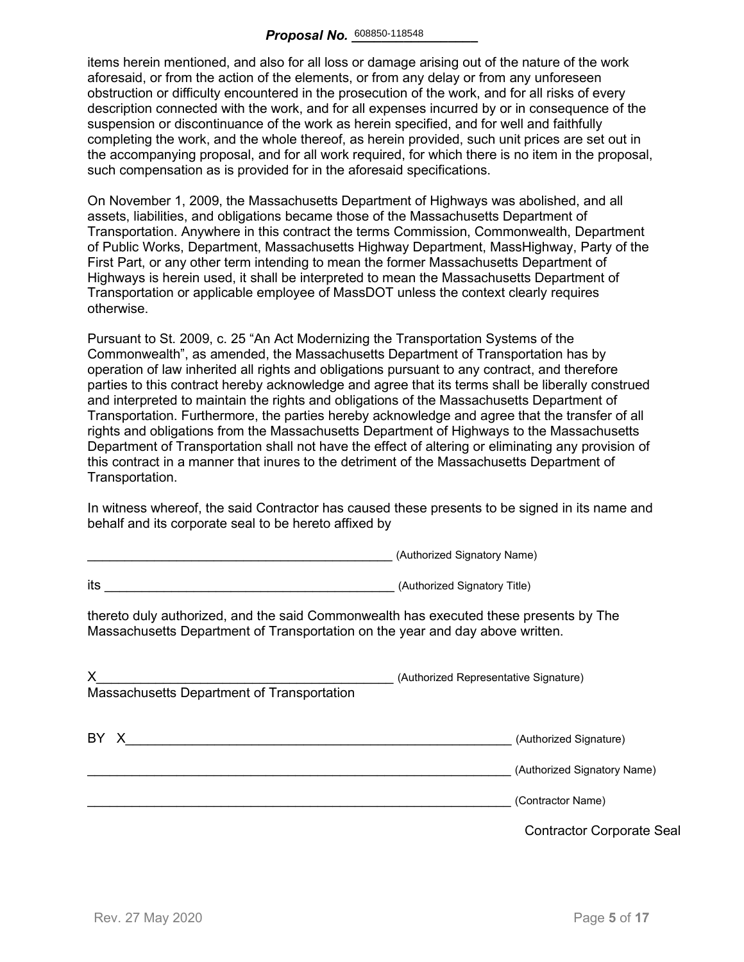items herein mentioned, and also for all loss or damage arising out of the nature of the work aforesaid, or from the action of the elements, or from any delay or from any unforeseen obstruction or difficulty encountered in the prosecution of the work, and for all risks of every description connected with the work, and for all expenses incurred by or in consequence of the suspension or discontinuance of the work as herein specified, and for well and faithfully completing the work, and the whole thereof, as herein provided, such unit prices are set out in the accompanying proposal, and for all work required, for which there is no item in the proposal, such compensation as is provided for in the aforesaid specifications.

On November 1, 2009, the Massachusetts Department of Highways was abolished, and all assets, liabilities, and obligations became those of the Massachusetts Department of Transportation. Anywhere in this contract the terms Commission, Commonwealth, Department of Public Works, Department, Massachusetts Highway Department, MassHighway, Party of the First Part, or any other term intending to mean the former Massachusetts Department of Highways is herein used, it shall be interpreted to mean the Massachusetts Department of Transportation or applicable employee of MassDOT unless the context clearly requires otherwise.

Pursuant to St. 2009, c. 25 "An Act Modernizing the Transportation Systems of the Commonwealth", as amended, the Massachusetts Department of Transportation has by operation of law inherited all rights and obligations pursuant to any contract, and therefore parties to this contract hereby acknowledge and agree that its terms shall be liberally construed and interpreted to maintain the rights and obligations of the Massachusetts Department of Transportation. Furthermore, the parties hereby acknowledge and agree that the transfer of all rights and obligations from the Massachusetts Department of Highways to the Massachusetts Department of Transportation shall not have the effect of altering or eliminating any provision of this contract in a manner that inures to the detriment of the Massachusetts Department of Transportation.

In witness whereof, the said Contractor has caused these presents to be signed in its name and behalf and its corporate seal to be hereto affixed by

\_\_\_\_\_\_\_\_\_\_\_\_\_\_\_\_\_\_\_\_\_\_\_\_\_\_\_\_\_\_\_\_\_\_\_\_\_\_\_\_\_ (Authorized Signatory Name)

|                                                                                                                                                                        | $\alpha$                                         |
|------------------------------------------------------------------------------------------------------------------------------------------------------------------------|--------------------------------------------------|
| its<br><u> 1989 - Johann Barbara, martin amerikan basar dan berasal dalam basa dalam basar dalam basar dalam basar dala</u>                                            | (Authorized Signatory Title)                     |
| thereto duly authorized, and the said Commonwealth has executed these presents by The<br>Massachusetts Department of Transportation on the year and day above written. |                                                  |
| X.<br>Massachusetts Department of Transportation                                                                                                                       | (Authorized Representative Signature)            |
| BY X                                                                                                                                                                   | (Authorized Signature)                           |
|                                                                                                                                                                        | (Authorized Signatory Name)<br>(Contractor Name) |
|                                                                                                                                                                        | <b>Contractor Corporate Seal</b>                 |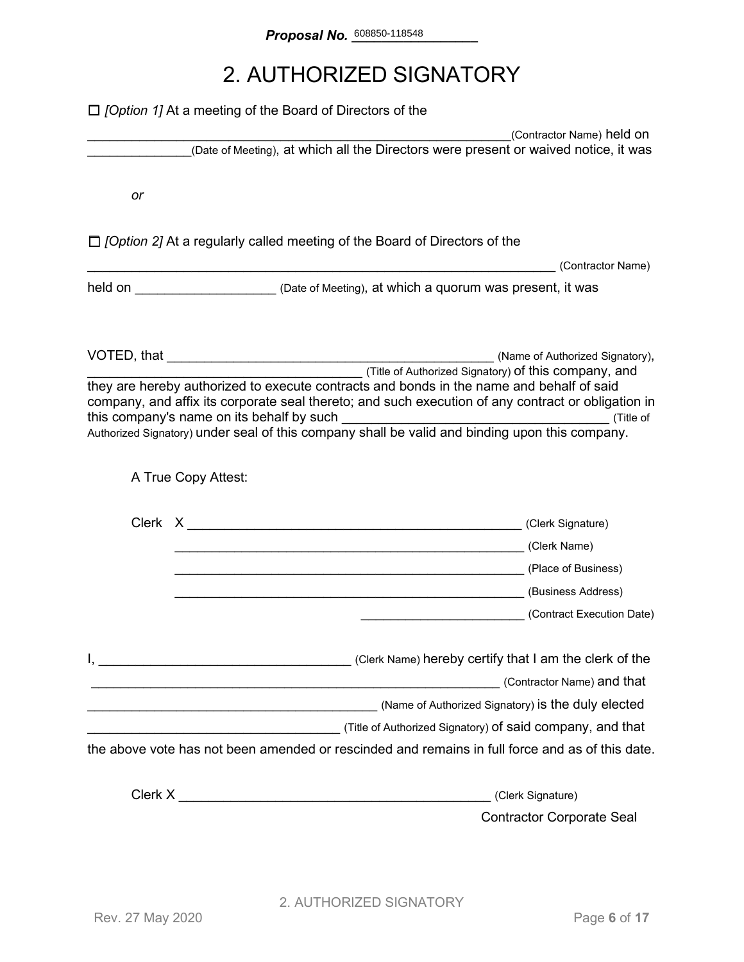# 2. AUTHORIZED SIGNATORY

|    | $\Box$ [Option 1] At a meeting of the Board of Directors of the                                                                                                                                                                                                                                                                                                 |                                  |
|----|-----------------------------------------------------------------------------------------------------------------------------------------------------------------------------------------------------------------------------------------------------------------------------------------------------------------------------------------------------------------|----------------------------------|
|    | (Date of Meeting), at which all the Directors were present or waived notice, it was                                                                                                                                                                                                                                                                             | (Contractor Name) held on        |
|    |                                                                                                                                                                                                                                                                                                                                                                 |                                  |
| or |                                                                                                                                                                                                                                                                                                                                                                 |                                  |
|    | $\Box$ [Option 2] At a regularly called meeting of the Board of Directors of the                                                                                                                                                                                                                                                                                |                                  |
|    |                                                                                                                                                                                                                                                                                                                                                                 | (Contractor Name)                |
|    | held on <u>Netter Alexander (Date of Meeting), at which a quorum was present, it was</u>                                                                                                                                                                                                                                                                        |                                  |
|    |                                                                                                                                                                                                                                                                                                                                                                 |                                  |
|    | (Title of Authorized Signatory) <b>of this company, and</b><br>they are hereby authorized to execute contracts and bonds in the name and behalf of said<br>company, and affix its corporate seal thereto; and such execution of any contract or obligation in<br>Authorized Signatory) under seal of this company shall be valid and binding upon this company. |                                  |
|    | A True Copy Attest:                                                                                                                                                                                                                                                                                                                                             |                                  |
|    |                                                                                                                                                                                                                                                                                                                                                                 |                                  |
|    | (Clerk Name) (Clerk Name)                                                                                                                                                                                                                                                                                                                                       |                                  |
|    | Later Charles (Place of Business)                                                                                                                                                                                                                                                                                                                               |                                  |
|    | (Business Address)                                                                                                                                                                                                                                                                                                                                              |                                  |
|    | (Contract Execution Date)                                                                                                                                                                                                                                                                                                                                       |                                  |
|    |                                                                                                                                                                                                                                                                                                                                                                 |                                  |
|    | <u> 1989 - Johann Barn, fransk politik (d. 1989)</u>                                                                                                                                                                                                                                                                                                            | (Contractor Name) and that       |
|    |                                                                                                                                                                                                                                                                                                                                                                 |                                  |
|    |                                                                                                                                                                                                                                                                                                                                                                 |                                  |
|    | the above vote has not been amended or rescinded and remains in full force and as of this date.                                                                                                                                                                                                                                                                 |                                  |
|    | (Clerk Signature)                                                                                                                                                                                                                                                                                                                                               |                                  |
|    |                                                                                                                                                                                                                                                                                                                                                                 | <b>Contractor Corporate Seal</b> |
|    |                                                                                                                                                                                                                                                                                                                                                                 |                                  |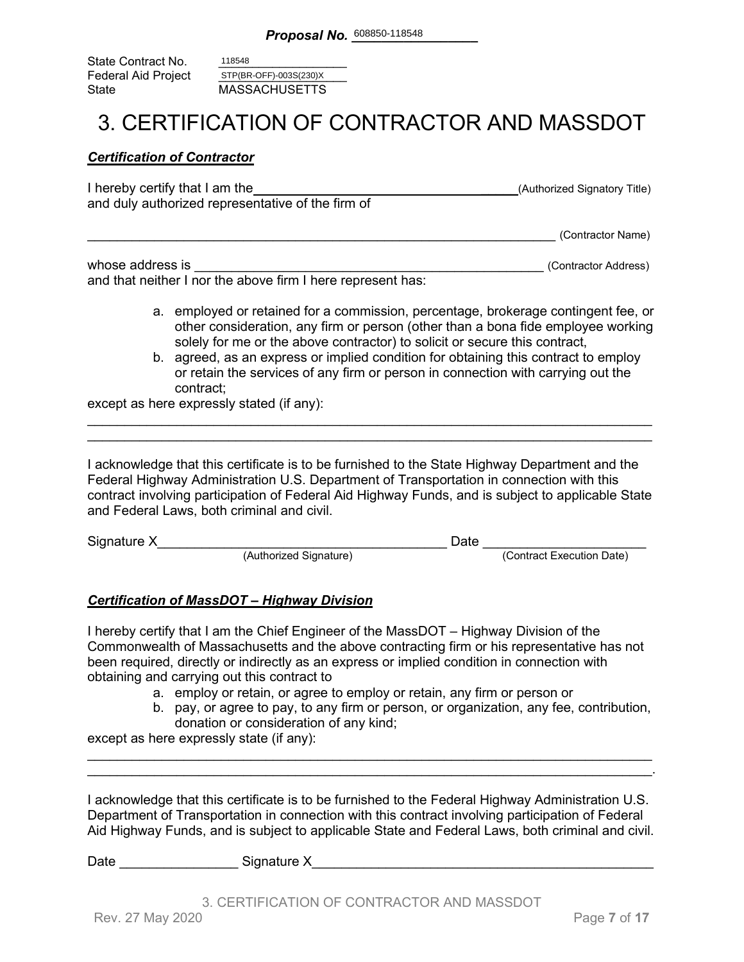State Contract No. Federal Aid Project<br>State **MASSACHUSETTS** 118548 STP(BR-OFF)-003S(230)X

### 3. CERTIFICATION OF CONTRACTOR AND MASSDOT

#### *Certification of Contractor*

| I hereby certify that I am the                    | (Authorized Signatory Title) |
|---------------------------------------------------|------------------------------|
| and duly authorized representative of the firm of |                              |
|                                                   |                              |

\_\_\_\_\_\_\_\_\_\_\_\_\_\_\_\_\_\_\_\_\_\_\_\_\_\_\_\_\_\_\_\_\_\_\_\_\_\_\_\_\_\_\_\_\_\_\_\_\_\_\_\_\_\_\_\_\_\_\_\_\_\_\_ (Contractor Name)

| whose address is                                            | (Contractor Address) |
|-------------------------------------------------------------|----------------------|
| and that neither I nor the above firm I here represent has: |                      |

- a. employed or retained for a commission, percentage, brokerage contingent fee, or other consideration, any firm or person (other than a bona fide employee working solely for me or the above contractor) to solicit or secure this contract,
- b. agreed, as an express or implied condition for obtaining this contract to employ or retain the services of any firm or person in connection with carrying out the contract;

except as here expressly stated (if any):

I acknowledge that this certificate is to be furnished to the State Highway Department and the Federal Highway Administration U.S. Department of Transportation in connection with this contract involving participation of Federal Aid Highway Funds, and is subject to applicable State and Federal Laws, both criminal and civil.

\_\_\_\_\_\_\_\_\_\_\_\_\_\_\_\_\_\_\_\_\_\_\_\_\_\_\_\_\_\_\_\_\_\_\_\_\_\_\_\_\_\_\_\_\_\_\_\_\_\_\_\_\_\_\_\_\_\_\_\_\_\_\_\_\_\_\_\_\_\_\_\_\_\_\_\_ \_\_\_\_\_\_\_\_\_\_\_\_\_\_\_\_\_\_\_\_\_\_\_\_\_\_\_\_\_\_\_\_\_\_\_\_\_\_\_\_\_\_\_\_\_\_\_\_\_\_\_\_\_\_\_\_\_\_\_\_\_\_\_\_\_\_\_\_\_\_\_\_\_\_\_\_

| Signature X |                        | )ate |                           |
|-------------|------------------------|------|---------------------------|
|             | (Authorized Signature) |      | (Contract Execution Date) |

#### *Certification of MassDOT – Highway Division*

I hereby certify that I am the Chief Engineer of the MassDOT – Highway Division of the Commonwealth of Massachusetts and the above contracting firm or his representative has not been required, directly or indirectly as an express or implied condition in connection with obtaining and carrying out this contract to

- a. employ or retain, or agree to employ or retain, any firm or person or
- b. pay, or agree to pay, to any firm or person, or organization, any fee, contribution, donation or consideration of any kind;

except as here expressly state (if any):

I acknowledge that this certificate is to be furnished to the Federal Highway Administration U.S. Department of Transportation in connection with this contract involving participation of Federal Aid Highway Funds, and is subject to applicable State and Federal Laws, both criminal and civil.

\_\_\_\_\_\_\_\_\_\_\_\_\_\_\_\_\_\_\_\_\_\_\_\_\_\_\_\_\_\_\_\_\_\_\_\_\_\_\_\_\_\_\_\_\_\_\_\_\_\_\_\_\_\_\_\_\_\_\_\_\_\_\_\_\_\_\_\_\_\_\_\_\_\_\_\_ \_\_\_\_\_\_\_\_\_\_\_\_\_\_\_\_\_\_\_\_\_\_\_\_\_\_\_\_\_\_\_\_\_\_\_\_\_\_\_\_\_\_\_\_\_\_\_\_\_\_\_\_\_\_\_\_\_\_\_\_\_\_\_\_\_\_\_\_\_\_\_\_\_\_\_\_.

Date \_\_\_\_\_\_\_\_\_\_\_\_\_\_\_\_ Signature X\_\_\_\_\_\_\_\_\_\_\_\_\_\_\_\_\_\_\_\_\_\_\_\_\_\_\_\_\_\_\_\_\_\_\_\_\_\_\_\_\_\_\_\_\_\_

3. CERTIFICATION OF CONTRACTOR AND MASSDOT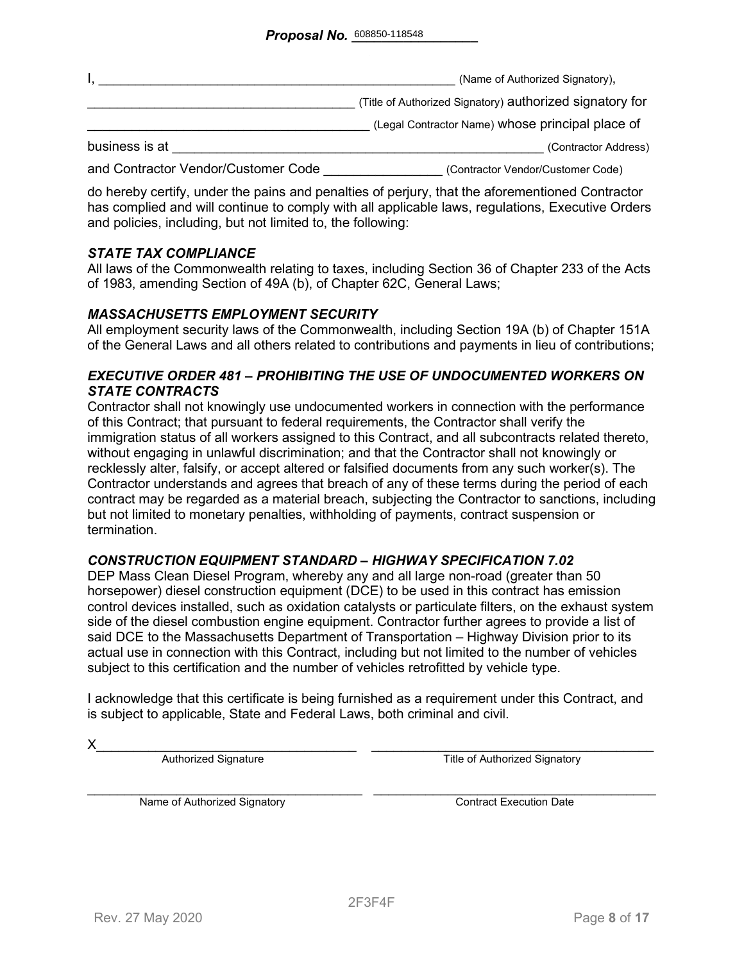|                                     | (Name of Authorized Signatory),                          |
|-------------------------------------|----------------------------------------------------------|
|                                     | (Title of Authorized Signatory) authorized signatory for |
|                                     | (Legal Contractor Name) whose principal place of         |
| business is at                      | (Contractor Address)                                     |
| and Contractor Vendor/Customer Code | (Contractor Vendor/Customer Code)                        |

do hereby certify, under the pains and penalties of perjury, that the aforementioned Contractor has complied and will continue to comply with all applicable laws, regulations, Executive Orders and policies, including, but not limited to, the following:

#### *STATE TAX COMPLIANCE*

All laws of the Commonwealth relating to taxes, including Section 36 of Chapter 233 of the Acts of 1983, amending Section of 49A (b), of Chapter 62C, General Laws;

#### *MASSACHUSETTS EMPLOYMENT SECURITY*

All employment security laws of the Commonwealth, including Section 19A (b) of Chapter 151A of the General Laws and all others related to contributions and payments in lieu of contributions;

#### *EXECUTIVE ORDER 481 – PROHIBITING THE USE OF UNDOCUMENTED WORKERS ON STATE CONTRACTS*

Contractor shall not knowingly use undocumented workers in connection with the performance of this Contract; that pursuant to federal requirements, the Contractor shall verify the immigration status of all workers assigned to this Contract, and all subcontracts related thereto, without engaging in unlawful discrimination; and that the Contractor shall not knowingly or recklessly alter, falsify, or accept altered or falsified documents from any such worker(s). The Contractor understands and agrees that breach of any of these terms during the period of each contract may be regarded as a material breach, subjecting the Contractor to sanctions, including but not limited to monetary penalties, withholding of payments, contract suspension or termination.

#### *CONSTRUCTION EQUIPMENT STANDARD – HIGHWAY SPECIFICATION 7.02*

DEP Mass Clean Diesel Program, whereby any and all large non-road (greater than 50 horsepower) diesel construction equipment (DCE) to be used in this contract has emission control devices installed, such as oxidation catalysts or particulate filters, on the exhaust system side of the diesel combustion engine equipment. Contractor further agrees to provide a list of said DCE to the Massachusetts Department of Transportation – Highway Division prior to its actual use in connection with this Contract, including but not limited to the number of vehicles subject to this certification and the number of vehicles retrofitted by vehicle type.

I acknowledge that this certificate is being furnished as a requirement under this Contract, and is subject to applicable, State and Federal Laws, both criminal and civil.

X\_\_\_\_\_\_\_\_\_\_\_\_\_\_\_\_\_\_\_\_\_\_\_\_\_\_\_\_\_\_\_\_\_\_\_ \_\_\_\_\_\_\_\_\_\_\_\_\_\_\_\_\_\_\_\_\_\_\_\_\_\_\_\_\_\_\_\_\_\_\_\_\_\_ Authorized Signature Title of Authorized Signatory

Name of Authorized Signatory **Execution Contract Execution Date**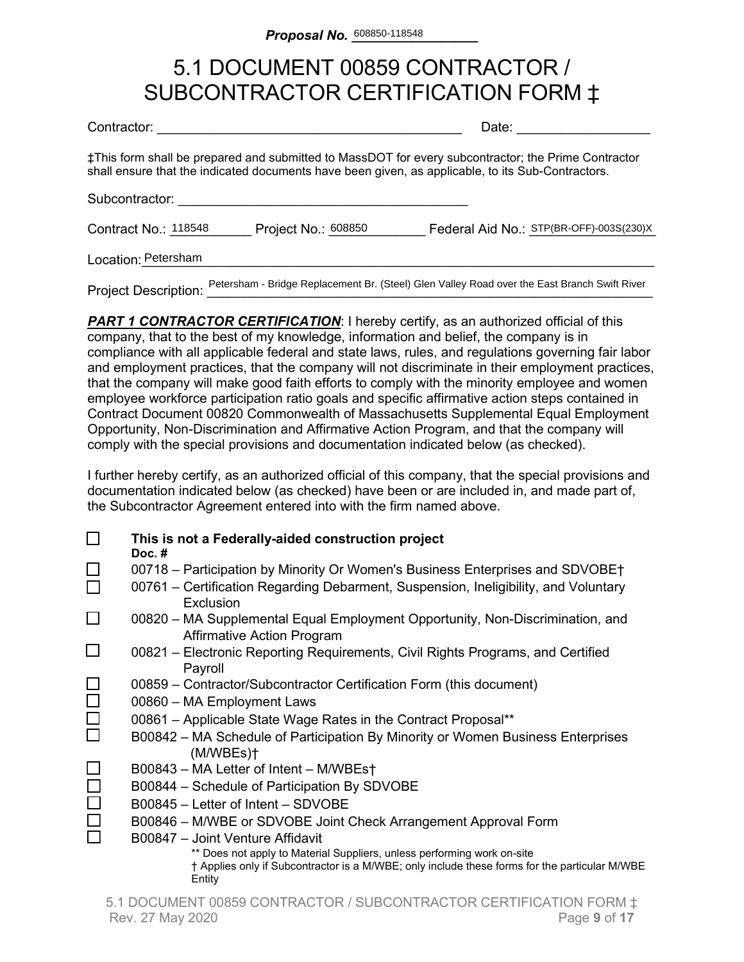### 5.1 DOCUMENT 00859 CONTRACTOR / SUBCONTRACTOR CERTIFICATION FORM ‡

| Contractor: |  |
|-------------|--|
|             |  |

Date:  $\Box$ 

‡This form shall be prepared and submitted to MassDOT for every subcontractor; the Prime Contractor shall ensure that the indicated documents have been given, as applicable, to its Sub-Contractors.

Subcontractor:

Contract No.: 118548 Project No.: 608850 Federal Aid No.: STP(BR-OFF)-003S(230)X

Location:\_\_\_\_\_\_\_\_\_\_\_\_\_\_\_\_\_\_\_\_\_\_\_\_\_\_\_\_\_\_\_\_\_\_\_\_\_\_\_\_\_\_\_\_\_\_\_\_\_\_\_\_\_\_\_\_\_\_\_\_\_\_\_\_\_\_\_\_\_ Petersham

Project Description: Petersham - Bridge Replacement Br. (Steel) Glen Valley Road over the East Branch Swift River

**PART 1 CONTRACTOR CERTIFICATION:** I hereby certify, as an authorized official of this company, that to the best of my knowledge, information and belief, the company is in compliance with all applicable federal and state laws, rules, and regulations governing fair labor and employment practices, that the company will not discriminate in their employment practices, that the company will make good faith efforts to comply with the minority employee and women employee workforce participation ratio goals and specific affirmative action steps contained in Contract Document 00820 Commonwealth of Massachusetts Supplemental Equal Employment Opportunity, Non-Discrimination and Affirmative Action Program, and that the company will comply with the special provisions and documentation indicated below (as checked).

I further hereby certify, as an authorized official of this company, that the special provisions and documentation indicated below (as checked) have been or are included in, and made part of, the Subcontractor Agreement entered into with the firm named above.

|        | This is not a Federally-aided construction project<br>Doc. $#$                                                                                                                     |
|--------|------------------------------------------------------------------------------------------------------------------------------------------------------------------------------------|
|        | 00718 – Participation by Minority Or Women's Business Enterprises and SDVOBE†<br>00761 - Certification Regarding Debarment, Suspension, Ineligibility, and Voluntary               |
|        | Exclusion                                                                                                                                                                          |
|        | 00820 – MA Supplemental Equal Employment Opportunity, Non-Discrimination, and<br><b>Affirmative Action Program</b>                                                                 |
|        | 00821 – Electronic Reporting Requirements, Civil Rights Programs, and Certified<br>Payroll                                                                                         |
|        | 00859 – Contractor/Subcontractor Certification Form (this document)                                                                                                                |
|        | 00860 - MA Employment Laws                                                                                                                                                         |
| $\Box$ | 00861 - Applicable State Wage Rates in the Contract Proposal**                                                                                                                     |
|        | B00842 – MA Schedule of Participation By Minority or Women Business Enterprises<br>(M/WBEs)t                                                                                       |
|        | B00843 - MA Letter of Intent - M/WBEst                                                                                                                                             |
|        | B00844 - Schedule of Participation By SDVOBE                                                                                                                                       |
|        | B00845 - Letter of Intent - SDVOBE                                                                                                                                                 |
|        | B00846 – M/WBE or SDVOBE Joint Check Arrangement Approval Form                                                                                                                     |
|        | B00847 - Joint Venture Affidavit                                                                                                                                                   |
|        | ** Does not apply to Material Suppliers, unless performing work on-site<br>† Applies only if Subcontractor is a M/WBE; only include these forms for the particular M/WBE<br>Entity |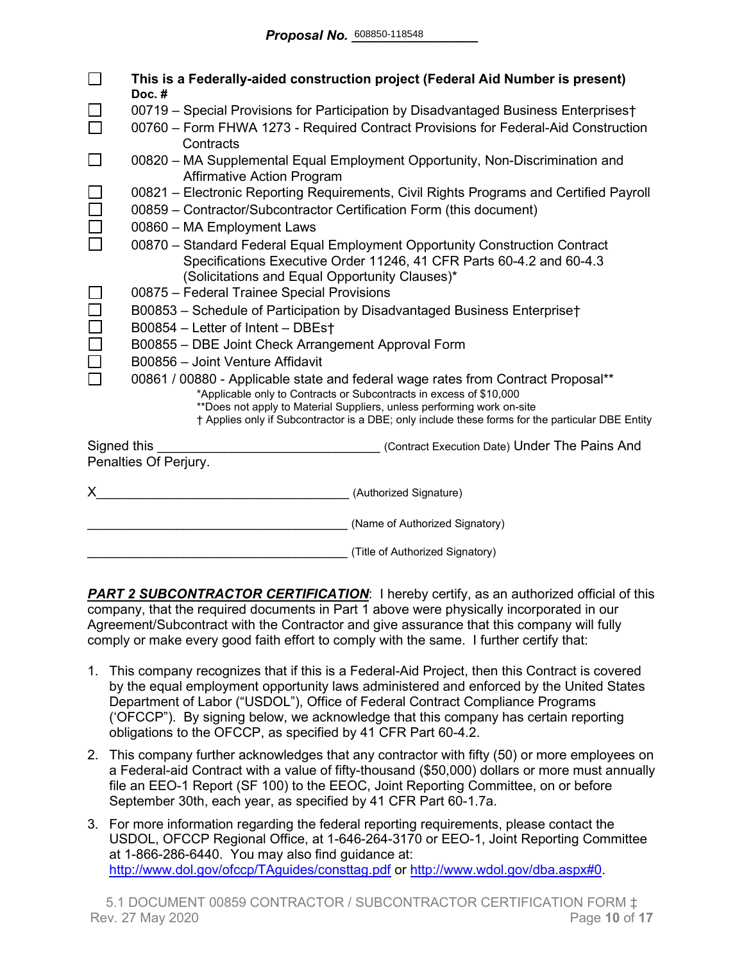|                                                                                       | This is a Federally-aided construction project (Federal Aid Number is present)<br>Doc.#                                                                 |  |  |
|---------------------------------------------------------------------------------------|---------------------------------------------------------------------------------------------------------------------------------------------------------|--|--|
|                                                                                       | 00719 - Special Provisions for Participation by Disadvantaged Business Enterprises†                                                                     |  |  |
|                                                                                       | 00760 – Form FHWA 1273 - Required Contract Provisions for Federal-Aid Construction<br>Contracts                                                         |  |  |
| $\Box$                                                                                | 00820 - MA Supplemental Equal Employment Opportunity, Non-Discrimination and<br><b>Affirmative Action Program</b>                                       |  |  |
|                                                                                       | 00821 – Electronic Reporting Requirements, Civil Rights Programs and Certified Payroll                                                                  |  |  |
|                                                                                       | 00859 - Contractor/Subcontractor Certification Form (this document)                                                                                     |  |  |
|                                                                                       | 00860 - MA Employment Laws                                                                                                                              |  |  |
|                                                                                       | 00870 - Standard Federal Equal Employment Opportunity Construction Contract                                                                             |  |  |
|                                                                                       | Specifications Executive Order 11246, 41 CFR Parts 60-4.2 and 60-4.3                                                                                    |  |  |
|                                                                                       | (Solicitations and Equal Opportunity Clauses)*                                                                                                          |  |  |
| 00875 - Federal Trainee Special Provisions                                            |                                                                                                                                                         |  |  |
|                                                                                       | B00853 - Schedule of Participation by Disadvantaged Business Enterprise†                                                                                |  |  |
|                                                                                       | B00854 - Letter of Intent - DBEst                                                                                                                       |  |  |
|                                                                                       | B00855 - DBE Joint Check Arrangement Approval Form                                                                                                      |  |  |
|                                                                                       | B00856 - Joint Venture Affidavit                                                                                                                        |  |  |
|                                                                                       | 00861 / 00880 - Applicable state and federal wage rates from Contract Proposal**<br>*Applicable only to Contracts or Subcontracts in excess of \$10,000 |  |  |
|                                                                                       | **Does not apply to Material Suppliers, unless performing work on-site                                                                                  |  |  |
|                                                                                       | † Applies only if Subcontractor is a DBE; only include these forms for the particular DBE Entity                                                        |  |  |
| Signed this<br>(Contract Execution Date) Under The Pains And<br>Penalties Of Perjury. |                                                                                                                                                         |  |  |
|                                                                                       |                                                                                                                                                         |  |  |
| X.                                                                                    | (Authorized Signature)                                                                                                                                  |  |  |
|                                                                                       | (Name of Authorized Signatory)                                                                                                                          |  |  |
|                                                                                       | (Title of Authorized Signatory)                                                                                                                         |  |  |

**PART 2 SUBCONTRACTOR CERTIFICATION:** I hereby certify, as an authorized official of this company, that the required documents in Part 1 above were physically incorporated in our Agreement/Subcontract with the Contractor and give assurance that this company will fully comply or make every good faith effort to comply with the same. I further certify that:

- 1. This company recognizes that if this is a Federal-Aid Project, then this Contract is covered by the equal employment opportunity laws administered and enforced by the United States Department of Labor ("USDOL"), Office of Federal Contract Compliance Programs ('OFCCP"). By signing below, we acknowledge that this company has certain reporting obligations to the OFCCP, as specified by 41 CFR Part 60-4.2.
- 2. This company further acknowledges that any contractor with fifty (50) or more employees on a Federal-aid Contract with a value of fifty-thousand (\$50,000) dollars or more must annually file an EEO-1 Report (SF 100) to the EEOC, Joint Reporting Committee, on or before September 30th, each year, as specified by 41 CFR Part 60-1.7a.
- 3. For more information regarding the federal reporting requirements, please contact the USDOL, OFCCP Regional Office, at 1-646-264-3170 or EEO-1, Joint Reporting Committee at 1-866-286-6440. You may also find guidance at: <http://www.dol.gov/ofccp/TAguides/consttag.pdf> or [http://www.wdol.gov/dba.aspx#0.](http://www.wdol.gov/dba.aspx#0)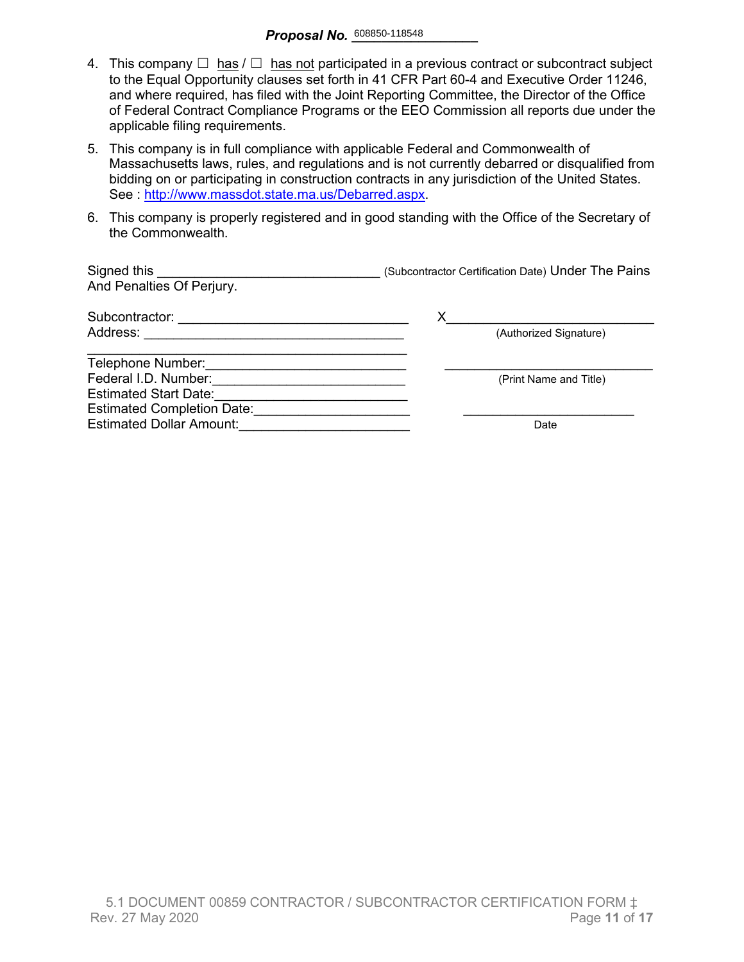- 4. This company  $\Box$  has  $\Box$  has not participated in a previous contract or subcontract subject to the Equal Opportunity clauses set forth in 41 CFR Part 60-4 and Executive Order 11246, and where required, has filed with the Joint Reporting Committee, the Director of the Office of Federal Contract Compliance Programs or the EEO Commission all reports due under the applicable filing requirements.
- 5. This company is in full compliance with applicable Federal and Commonwealth of Massachusetts laws, rules, and regulations and is not currently debarred or disqualified from bidding on or participating in construction contracts in any jurisdiction of the United States. See : http://www.massdot.state.ma.us/Debarred.aspx.
- 6. This company is properly registered and in good standing with the Office of the Secretary of the Commonwealth.

| Signed this<br>And Penalties Of Perjury. | (Subcontractor Certification Date) Under The Pains |
|------------------------------------------|----------------------------------------------------|
| Subcontractor:                           |                                                    |
| Address:                                 | (Authorized Signature)                             |
| Telephone Number:                        |                                                    |
| Federal I.D. Number:                     | (Print Name and Title)                             |
| <b>Estimated Start Date:</b>             |                                                    |
| <b>Estimated Completion Date:</b>        |                                                    |
| <b>Estimated Dollar Amount:</b>          | Date                                               |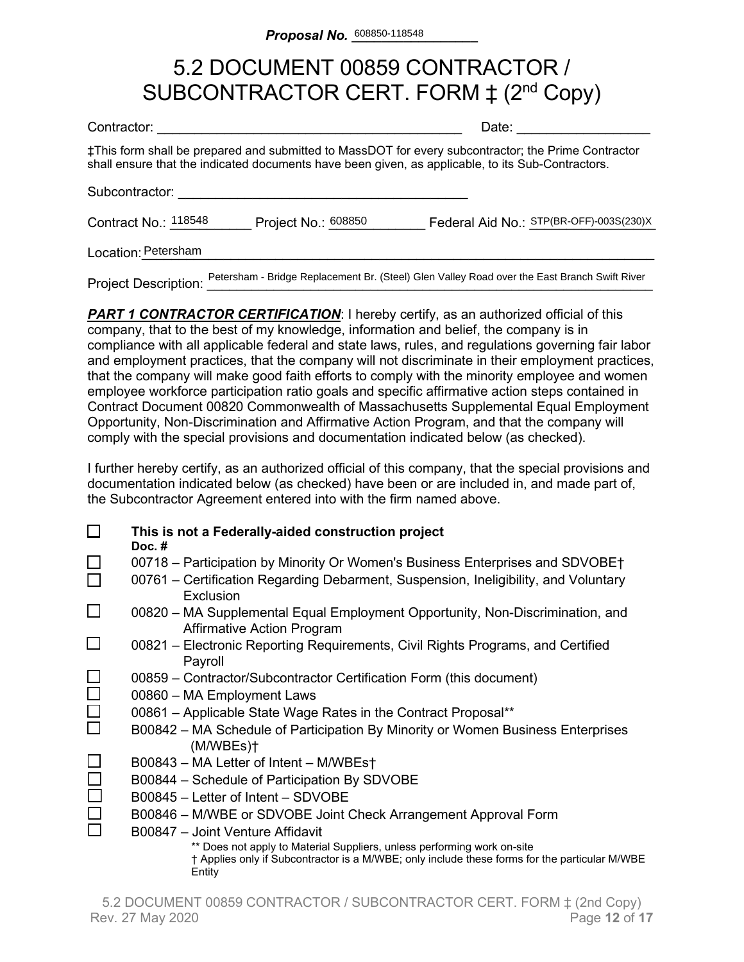# 5.2 DOCUMENT 00859 CONTRACTOR / SUBCONTRACTOR CERT. FORM  $\ddagger$  (2<sup>nd</sup> Copy)

| Contractor:                 | Date:               |                                                                                                                                                                                                          |
|-----------------------------|---------------------|----------------------------------------------------------------------------------------------------------------------------------------------------------------------------------------------------------|
|                             |                     | ‡This form shall be prepared and submitted to MassDOT for every subcontractor; the Prime Contractor<br>shall ensure that the indicated documents have been given, as applicable, to its Sub-Contractors. |
| Subcontractor:              |                     |                                                                                                                                                                                                          |
| Contract No.: 118548        | Project No.: 608850 | Federal Aid No.: STP(BR-OFF)-003S(230)X                                                                                                                                                                  |
| Location: Petersham         |                     |                                                                                                                                                                                                          |
| <b>Project Description:</b> |                     | Petersham - Bridge Replacement Br. (Steel) Glen Valley Road over the East Branch Swift River                                                                                                             |

**PART 1 CONTRACTOR CERTIFICATION:** I hereby certify, as an authorized official of this company, that to the best of my knowledge, information and belief, the company is in compliance with all applicable federal and state laws, rules, and regulations governing fair labor and employment practices, that the company will not discriminate in their employment practices, that the company will make good faith efforts to comply with the minority employee and women employee workforce participation ratio goals and specific affirmative action steps contained in Contract Document 00820 Commonwealth of Massachusetts Supplemental Equal Employment Opportunity, Non-Discrimination and Affirmative Action Program, and that the company will comply with the special provisions and documentation indicated below (as checked).

I further hereby certify, as an authorized official of this company, that the special provisions and documentation indicated below (as checked) have been or are included in, and made part of, the Subcontractor Agreement entered into with the firm named above.

|        | This is not a Federally-aided construction project<br>Doc. $#$                                                                                                                     |
|--------|------------------------------------------------------------------------------------------------------------------------------------------------------------------------------------|
|        | 00718 – Participation by Minority Or Women's Business Enterprises and SDVOBE†<br>00761 – Certification Regarding Debarment, Suspension, Ineligibility, and Voluntary               |
|        | Exclusion                                                                                                                                                                          |
| $\Box$ | 00820 – MA Supplemental Equal Employment Opportunity, Non-Discrimination, and<br><b>Affirmative Action Program</b>                                                                 |
|        | 00821 – Electronic Reporting Requirements, Civil Rights Programs, and Certified<br>Payroll                                                                                         |
|        | 00859 - Contractor/Subcontractor Certification Form (this document)                                                                                                                |
|        | 00860 - MA Employment Laws                                                                                                                                                         |
| $\Box$ | 00861 - Applicable State Wage Rates in the Contract Proposal**                                                                                                                     |
|        | B00842 – MA Schedule of Participation By Minority or Women Business Enterprises<br>(M/WBEs)t                                                                                       |
|        | B00843 - MA Letter of Intent - M/WBEst                                                                                                                                             |
|        | B00844 - Schedule of Participation By SDVOBE                                                                                                                                       |
|        | B00845 – Letter of Intent – SDVOBE                                                                                                                                                 |
|        | B00846 - M/WBE or SDVOBE Joint Check Arrangement Approval Form                                                                                                                     |
|        | B00847 - Joint Venture Affidavit                                                                                                                                                   |
|        | ** Does not apply to Material Suppliers, unless performing work on-site<br>† Applies only if Subcontractor is a M/WBE; only include these forms for the particular M/WBE<br>Entity |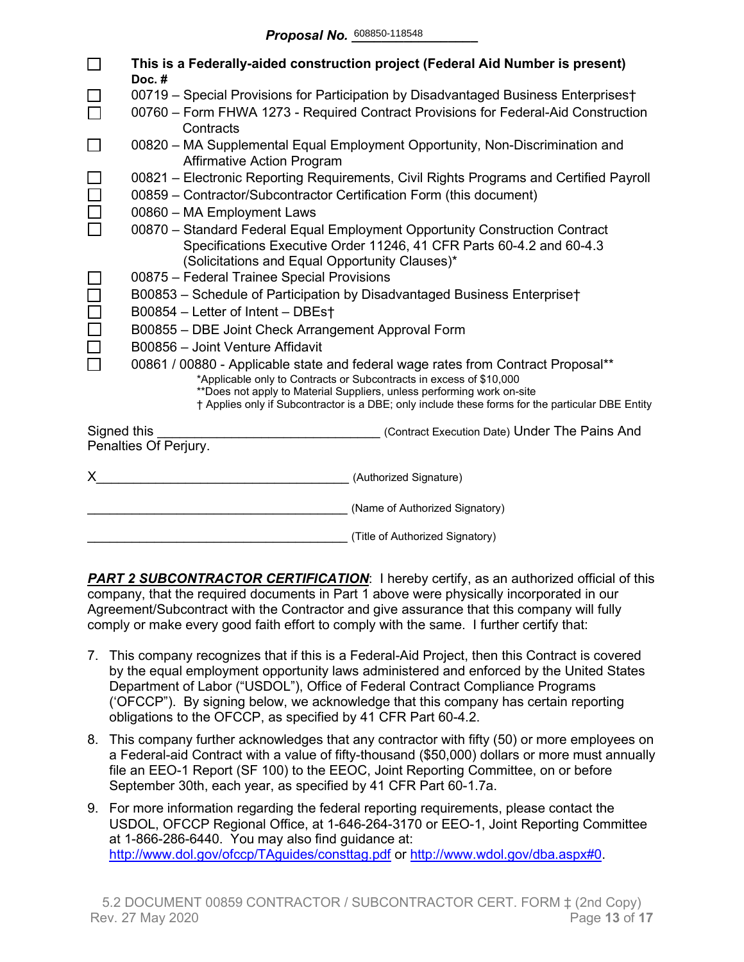|             | This is a Federally-aided construction project (Federal Aid Number is present)<br>Doc.#                                                                                                                                                                                                                                               |  |  |  |  |  |  |  |  |
|-------------|---------------------------------------------------------------------------------------------------------------------------------------------------------------------------------------------------------------------------------------------------------------------------------------------------------------------------------------|--|--|--|--|--|--|--|--|
|             | 00719 - Special Provisions for Participation by Disadvantaged Business Enterprises†                                                                                                                                                                                                                                                   |  |  |  |  |  |  |  |  |
|             | 00760 - Form FHWA 1273 - Required Contract Provisions for Federal-Aid Construction<br>Contracts                                                                                                                                                                                                                                       |  |  |  |  |  |  |  |  |
|             | 00820 – MA Supplemental Equal Employment Opportunity, Non-Discrimination and<br><b>Affirmative Action Program</b>                                                                                                                                                                                                                     |  |  |  |  |  |  |  |  |
|             | 00821 – Electronic Reporting Requirements, Civil Rights Programs and Certified Payroll<br>00859 - Contractor/Subcontractor Certification Form (this document)                                                                                                                                                                         |  |  |  |  |  |  |  |  |
|             | 00860 - MA Employment Laws                                                                                                                                                                                                                                                                                                            |  |  |  |  |  |  |  |  |
|             | 00870 - Standard Federal Equal Employment Opportunity Construction Contract<br>Specifications Executive Order 11246, 41 CFR Parts 60-4.2 and 60-4.3<br>(Solicitations and Equal Opportunity Clauses)*                                                                                                                                 |  |  |  |  |  |  |  |  |
|             | 00875 - Federal Trainee Special Provisions                                                                                                                                                                                                                                                                                            |  |  |  |  |  |  |  |  |
|             | B00853 - Schedule of Participation by Disadvantaged Business Enterprise†                                                                                                                                                                                                                                                              |  |  |  |  |  |  |  |  |
|             | B00854 - Letter of Intent - DBEst                                                                                                                                                                                                                                                                                                     |  |  |  |  |  |  |  |  |
|             | B00855 - DBE Joint Check Arrangement Approval Form                                                                                                                                                                                                                                                                                    |  |  |  |  |  |  |  |  |
|             | B00856 - Joint Venture Affidavit                                                                                                                                                                                                                                                                                                      |  |  |  |  |  |  |  |  |
|             | 00861 / 00880 - Applicable state and federal wage rates from Contract Proposal**<br>*Applicable only to Contracts or Subcontracts in excess of \$10,000<br>**Does not apply to Material Suppliers, unless performing work on-site<br>† Applies only if Subcontractor is a DBE; only include these forms for the particular DBE Entity |  |  |  |  |  |  |  |  |
| Signed this | (Contract Execution Date) Under The Pains And                                                                                                                                                                                                                                                                                         |  |  |  |  |  |  |  |  |
|             | Penalties Of Perjury.                                                                                                                                                                                                                                                                                                                 |  |  |  |  |  |  |  |  |
| X.          | (Authorized Signature)                                                                                                                                                                                                                                                                                                                |  |  |  |  |  |  |  |  |
|             | (Name of Authorized Signatory)                                                                                                                                                                                                                                                                                                        |  |  |  |  |  |  |  |  |
|             | (Title of Authorized Signatory)                                                                                                                                                                                                                                                                                                       |  |  |  |  |  |  |  |  |

**PART 2 SUBCONTRACTOR CERTIFICATION:** I hereby certify, as an authorized official of this company, that the required documents in Part 1 above were physically incorporated in our Agreement/Subcontract with the Contractor and give assurance that this company will fully comply or make every good faith effort to comply with the same. I further certify that:

- 7. This company recognizes that if this is a Federal-Aid Project, then this Contract is covered by the equal employment opportunity laws administered and enforced by the United States Department of Labor ("USDOL"), Office of Federal Contract Compliance Programs ('OFCCP"). By signing below, we acknowledge that this company has certain reporting obligations to the OFCCP, as specified by 41 CFR Part 60-4.2.
- 8. This company further acknowledges that any contractor with fifty (50) or more employees on a Federal-aid Contract with a value of fifty-thousand (\$50,000) dollars or more must annually file an EEO-1 Report (SF 100) to the EEOC, Joint Reporting Committee, on or before September 30th, each year, as specified by 41 CFR Part 60-1.7a.
- 9. For more information regarding the federal reporting requirements, please contact the USDOL, OFCCP Regional Office, at 1-646-264-3170 or EEO-1, Joint Reporting Committee at 1-866-286-6440. You may also find guidance at: <http://www.dol.gov/ofccp/TAguides/consttag.pdf> or [http://www.wdol.gov/dba.aspx#0.](http://www.wdol.gov/dba.aspx#0)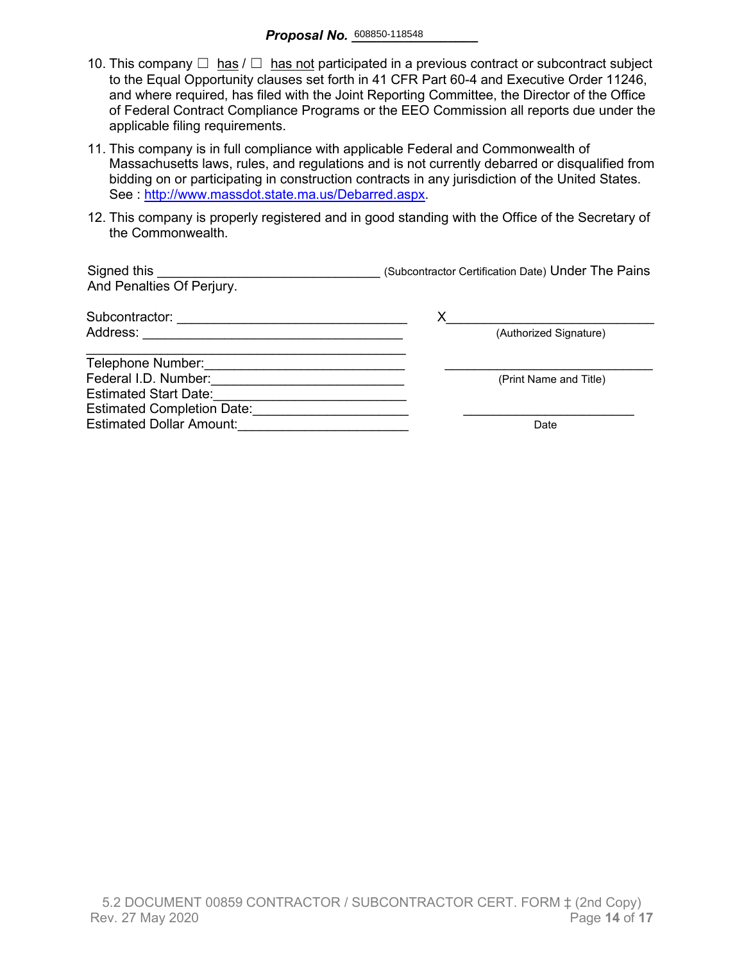- 10. This company  $\Box$  has  $\Box$  has not participated in a previous contract or subcontract subject to the Equal Opportunity clauses set forth in 41 CFR Part 60-4 and Executive Order 11246, and where required, has filed with the Joint Reporting Committee, the Director of the Office of Federal Contract Compliance Programs or the EEO Commission all reports due under the applicable filing requirements.
- 11. This company is in full compliance with applicable Federal and Commonwealth of Massachusetts laws, rules, and regulations and is not currently debarred or disqualified from bidding on or participating in construction contracts in any jurisdiction of the United States. See : [http://www.massdot.state.ma.us/Debarred.aspx.](http://www.massdot.state.ma.us/Debarred.aspx)
- 12. This company is properly registered and in good standing with the Office of the Secretary of the Commonwealth.

| Signed this<br>And Penalties Of Perjury. | (Subcontractor Certification Date) Under The Pains |
|------------------------------------------|----------------------------------------------------|
| Subcontractor:                           | х                                                  |
| Address:                                 | (Authorized Signature)                             |
| Telephone Number:                        |                                                    |
| Federal I.D. Number:                     | (Print Name and Title)                             |
| <b>Estimated Start Date:</b>             |                                                    |
| <b>Estimated Completion Date:</b>        |                                                    |
| <b>Estimated Dollar Amount:</b>          | Date                                               |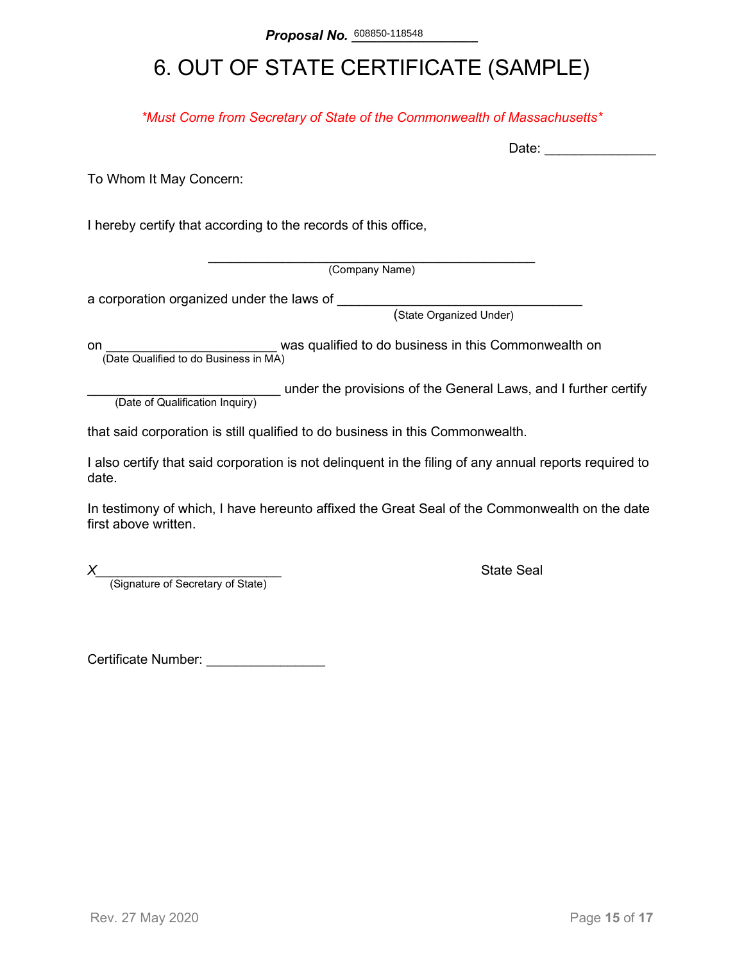# 6. OUT OF STATE CERTIFICATE (SAMPLE)

*\*Must Come from Secretary of State of the Commonwealth of Massachusetts\**

To Whom It May Concern:

I hereby certify that according to the records of this office,

\_\_\_\_\_\_\_\_\_\_\_\_\_\_\_\_\_\_\_\_\_\_\_\_\_\_\_\_\_\_\_\_\_\_\_\_\_\_\_\_\_\_\_\_ (Company Name)

a corporation organized under the laws of \_\_\_\_\_\_\_\_

(State Organized Under)

on **on Example 2** was qualified to do business in this Commonwealth on (Date Qualified to do Business in MA)

(Date of Qualification Inquiry) under the provisions of the General Laws, and I further certify (Date of Qualification Inquiry)

that said corporation is still qualified to do business in this Commonwealth.

I also certify that said corporation is not delinquent in the filing of any annual reports required to date.

In testimony of which, I have hereunto affixed the Great Seal of the Commonwealth on the date first above written.

*X*<br>(Signature of Secretary of State) **Alternative State Seal State Seal Alternative State** 

Certificate Number: \_\_\_\_\_\_\_\_\_\_\_\_\_\_\_\_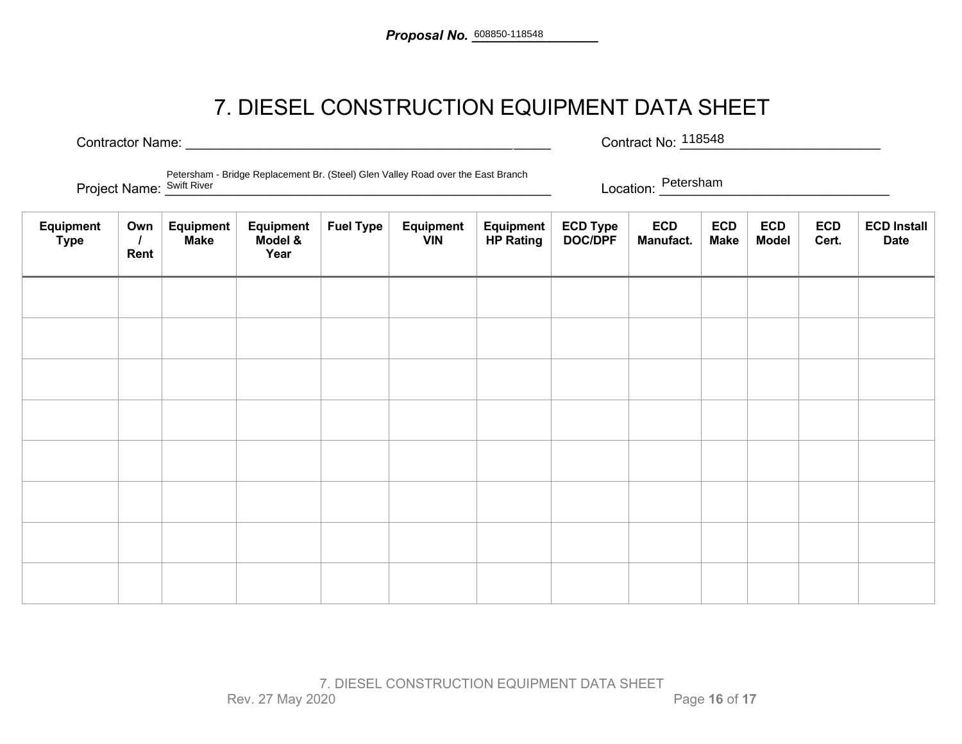### 7. DIESEL CONSTRUCTION EQUIPMENT DATA SHEET

Contractor Name: <u>Contractor Name:</u> Exercise Contract No: 218548 Contract No: 118548

Project Name: <u>Swift River Change Reparement Bit (creer</u>, crementary reasons the East Branch Change. Non-Location: Petersham Petersham - Bridge Replacement Br. (Steel) Glen Valley Road over the East Branch Project Name: Swift River

| Equipment<br><b>Type</b> | Own<br>Rent | Equipment<br><b>Make</b> | Equipment<br>Model &<br>Year | <b>Fuel Type</b> | Equipment<br><b>VIN</b> | Equipment<br><b>HP Rating</b> | ECD Type<br>DOC/DPF | <b>ECD</b><br>Manufact. | <b>ECD</b><br><b>Make</b> | <b>ECD</b><br><b>Model</b> | <b>ECD</b><br>Cert. | <b>ECD Install</b><br><b>Date</b> |
|--------------------------|-------------|--------------------------|------------------------------|------------------|-------------------------|-------------------------------|---------------------|-------------------------|---------------------------|----------------------------|---------------------|-----------------------------------|
|                          |             |                          |                              |                  |                         |                               |                     |                         |                           |                            |                     |                                   |
|                          |             |                          |                              |                  |                         |                               |                     |                         |                           |                            |                     |                                   |
|                          |             |                          |                              |                  |                         |                               |                     |                         |                           |                            |                     |                                   |
|                          |             |                          |                              |                  |                         |                               |                     |                         |                           |                            |                     |                                   |
|                          |             |                          |                              |                  |                         |                               |                     |                         |                           |                            |                     |                                   |
|                          |             |                          |                              |                  |                         |                               |                     |                         |                           |                            |                     |                                   |
|                          |             |                          |                              |                  |                         |                               |                     |                         |                           |                            |                     |                                   |
|                          |             |                          |                              |                  |                         |                               |                     |                         |                           |                            |                     |                                   |